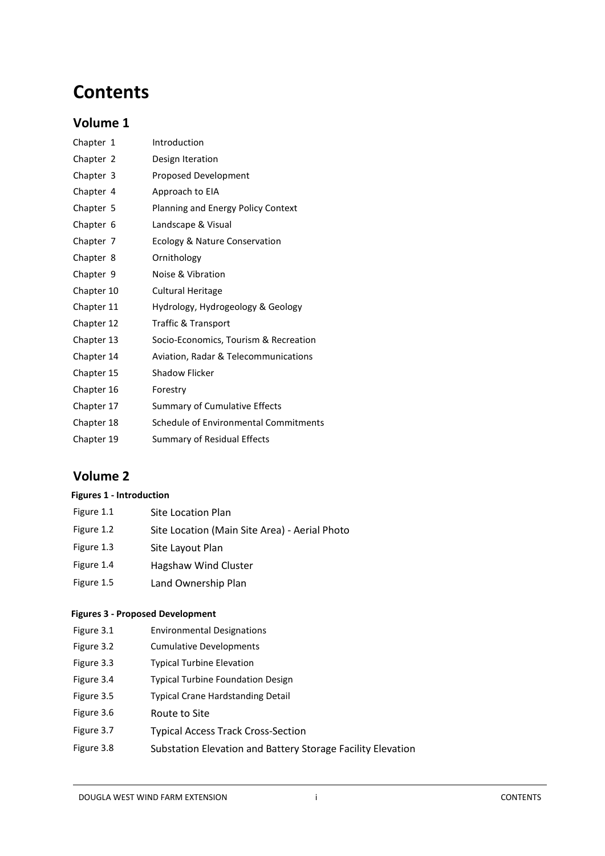# **Contents**

# **Volume 1**

| Chapter 1  | Introduction                          |
|------------|---------------------------------------|
| Chapter 2  | Design Iteration                      |
| Chapter 3  | Proposed Development                  |
| Chapter 4  | Approach to EIA                       |
| Chapter 5  | Planning and Energy Policy Context    |
| Chapter 6  | Landscape & Visual                    |
| Chapter 7  | Ecology & Nature Conservation         |
| Chapter 8  | Ornithology                           |
| Chapter 9  | Noise & Vibration                     |
| Chapter 10 | <b>Cultural Heritage</b>              |
| Chapter 11 | Hydrology, Hydrogeology & Geology     |
| Chapter 12 | Traffic & Transport                   |
| Chapter 13 | Socio-Economics, Tourism & Recreation |
| Chapter 14 | Aviation, Radar & Telecommunications  |
| Chapter 15 | <b>Shadow Flicker</b>                 |
| Chapter 16 | Forestry                              |
| Chapter 17 | <b>Summary of Cumulative Effects</b>  |
| Chapter 18 | Schedule of Environmental Commitments |
| Chapter 19 | Summary of Residual Effects           |

# **Volume 2**

# **Figures 1 - Introduction**

| Figure 1.1 | <b>Site Location Plan</b>                     |
|------------|-----------------------------------------------|
| Figure 1.2 | Site Location (Main Site Area) - Aerial Photo |
| Figure 1.3 | Site Layout Plan                              |
| Figure 1.4 | Hagshaw Wind Cluster                          |
| Figure 1.5 | Land Ownership Plan                           |

# **Figures 3 - Proposed Development**

- Figure 3.1 Environmental Designations
- Figure 3.2 Cumulative Developments
- Figure 3.3 Typical Turbine Elevation
- Figure 3.4 Typical Turbine Foundation Design
- Figure 3.5 Typical Crane Hardstanding Detail
- Figure 3.6 Route to Site
- Figure 3.7 Typical Access Track Cross-Section
- Figure 3.8 Substation Elevation and Battery Storage Facility Elevation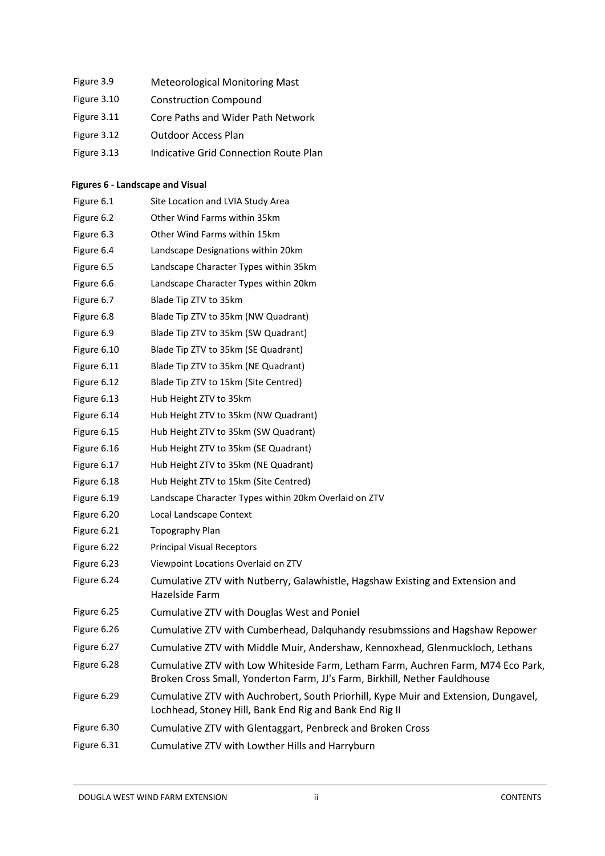- Figure 3.9 Meteorological Monitoring Mast
- Figure 3.10 Construction Compound
- Figure 3.11 Core Paths and Wider Path Network
- Figure 3.12 Outdoor Access Plan
- Figure 3.13 Indicative Grid Connection Route Plan

# **Figures 6 - Landscape and Visual**

| Figure 6.1  | Site Location and LVIA Study Area                                                                                                                              |
|-------------|----------------------------------------------------------------------------------------------------------------------------------------------------------------|
| Figure 6.2  | Other Wind Farms within 35km                                                                                                                                   |
| Figure 6.3  | Other Wind Farms within 15km                                                                                                                                   |
| Figure 6.4  | Landscape Designations within 20km                                                                                                                             |
| Figure 6.5  | Landscape Character Types within 35km                                                                                                                          |
| Figure 6.6  | Landscape Character Types within 20km                                                                                                                          |
| Figure 6.7  | Blade Tip ZTV to 35km                                                                                                                                          |
| Figure 6.8  | Blade Tip ZTV to 35km (NW Quadrant)                                                                                                                            |
| Figure 6.9  | Blade Tip ZTV to 35km (SW Quadrant)                                                                                                                            |
| Figure 6.10 | Blade Tip ZTV to 35km (SE Quadrant)                                                                                                                            |
| Figure 6.11 | Blade Tip ZTV to 35km (NE Quadrant)                                                                                                                            |
| Figure 6.12 | Blade Tip ZTV to 15km (Site Centred)                                                                                                                           |
| Figure 6.13 | Hub Height ZTV to 35km                                                                                                                                         |
| Figure 6.14 | Hub Height ZTV to 35km (NW Quadrant)                                                                                                                           |
| Figure 6.15 | Hub Height ZTV to 35km (SW Quadrant)                                                                                                                           |
| Figure 6.16 | Hub Height ZTV to 35km (SE Quadrant)                                                                                                                           |
| Figure 6.17 | Hub Height ZTV to 35km (NE Quadrant)                                                                                                                           |
| Figure 6.18 | Hub Height ZTV to 15km (Site Centred)                                                                                                                          |
| Figure 6.19 | Landscape Character Types within 20km Overlaid on ZTV                                                                                                          |
| Figure 6.20 | Local Landscape Context                                                                                                                                        |
| Figure 6.21 | Topography Plan                                                                                                                                                |
| Figure 6.22 | <b>Principal Visual Receptors</b>                                                                                                                              |
| Figure 6.23 | Viewpoint Locations Overlaid on ZTV                                                                                                                            |
| Figure 6.24 | Cumulative ZTV with Nutberry, Galawhistle, Hagshaw Existing and Extension and<br>Hazelside Farm                                                                |
| Figure 6.25 | Cumulative ZTV with Douglas West and Poniel                                                                                                                    |
| Figure 6.26 | Cumulative ZTV with Cumberhead, Dalquhandy resubmssions and Hagshaw Repower                                                                                    |
| Figure 6.27 | Cumulative ZTV with Middle Muir, Andershaw, Kennoxhead, Glenmuckloch, Lethans                                                                                  |
| Figure 6.28 | Cumulative ZTV with Low Whiteside Farm, Letham Farm, Auchren Farm, M74 Eco Park,<br>Broken Cross Small, Yonderton Farm, JJ's Farm, Birkhill, Nether Fauldhouse |
| Figure 6.29 | Cumulative ZTV with Auchrobert, South Priorhill, Kype Muir and Extension, Dungavel,<br>Lochhead, Stoney Hill, Bank End Rig and Bank End Rig II                 |
| Figure 6.30 | Cumulative ZTV with Glentaggart, Penbreck and Broken Cross                                                                                                     |
| Figure 6.31 | Cumulative ZTV with Lowther Hills and Harryburn                                                                                                                |
|             |                                                                                                                                                                |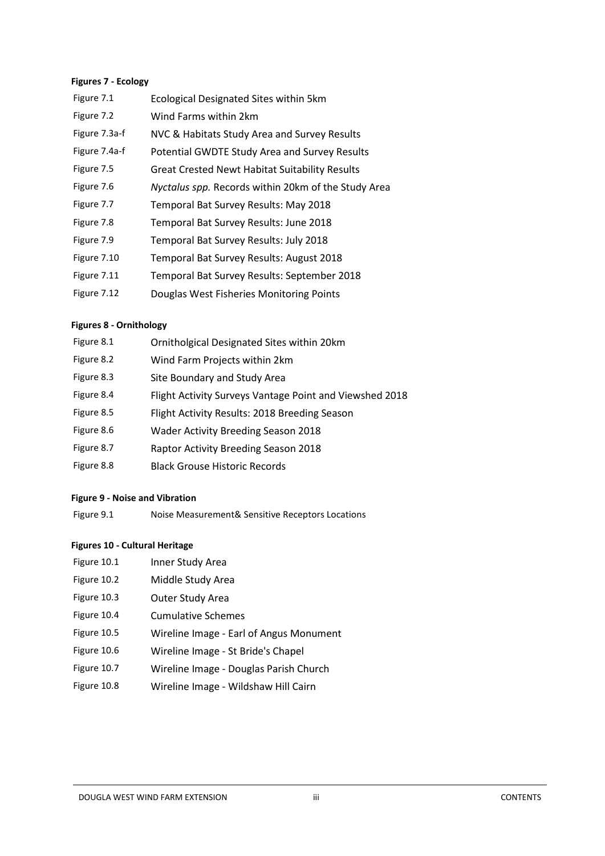#### **Figures 7 - Ecology**

| Figure 7.1    | <b>Ecological Designated Sites within 5km</b>         |
|---------------|-------------------------------------------------------|
| Figure 7.2    | Wind Farms within 2km                                 |
| Figure 7.3a-f | NVC & Habitats Study Area and Survey Results          |
| Figure 7.4a-f | Potential GWDTE Study Area and Survey Results         |
| Figure 7.5    | <b>Great Crested Newt Habitat Suitability Results</b> |
| Figure 7.6    | Nyctalus spp. Records within 20km of the Study Area   |
| Figure 7.7    | Temporal Bat Survey Results: May 2018                 |
| Figure 7.8    | Temporal Bat Survey Results: June 2018                |
| Figure 7.9    | Temporal Bat Survey Results: July 2018                |
| Figure 7.10   | Temporal Bat Survey Results: August 2018              |
| Figure 7.11   | Temporal Bat Survey Results: September 2018           |
| Figure 7.12   | Douglas West Fisheries Monitoring Points              |

#### **Figures 8 - Ornithology**

| Figure 8.1 | Ornitholgical Designated Sites within 20km              |
|------------|---------------------------------------------------------|
| Figure 8.2 | Wind Farm Projects within 2km                           |
| Figure 8.3 | Site Boundary and Study Area                            |
| Figure 8.4 | Flight Activity Surveys Vantage Point and Viewshed 2018 |
| Figure 8.5 | Flight Activity Results: 2018 Breeding Season           |
| Figure 8.6 | <b>Wader Activity Breeding Season 2018</b>              |
| Figure 8.7 | Raptor Activity Breeding Season 2018                    |
| Figure 8.8 | <b>Black Grouse Historic Records</b>                    |

#### **Figure 9 - Noise and Vibration**

Figure 9.1 Noise Measurement& Sensitive Receptors Locations

#### **Figures 10 - Cultural Heritage**

- Figure 10.1 Inner Study Area
- Figure 10.2 Middle Study Area
- Figure 10.3 Outer Study Area
- Figure 10.4 Cumulative Schemes
- Figure 10.5 Wireline Image Earl of Angus Monument
- Figure 10.6 Wireline Image St Bride's Chapel
- Figure 10.7 Wireline Image Douglas Parish Church
- Figure 10.8 Wireline Image Wildshaw Hill Cairn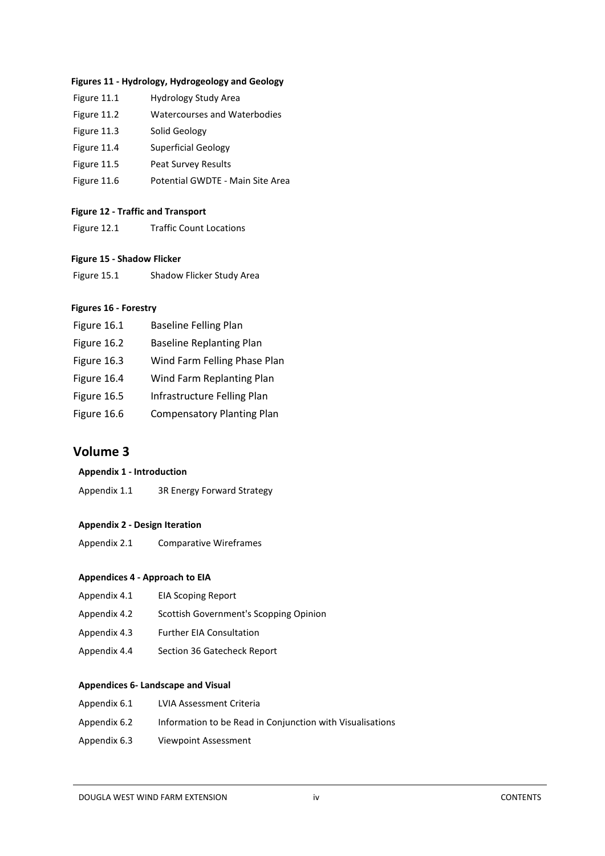#### **Figures 11 - Hydrology, Hydrogeology and Geology**

| Figure 11.1 | Hydrology Study Area             |
|-------------|----------------------------------|
| Figure 11.2 | Watercourses and Waterbodies     |
| Figure 11.3 | Solid Geology                    |
| Figure 11.4 | <b>Superficial Geology</b>       |
| Figure 11.5 | <b>Peat Survey Results</b>       |
| Figure 11.6 | Potential GWDTE - Main Site Area |
|             |                                  |

#### **Figure 12 - Traffic and Transport**

Figure 12.1 Traffic Count Locations

## **Figure 15 - Shadow Flicker**

Figure 15.1 Shadow Flicker Study Area

#### **Figures 16 - Forestry**

| Figure 16.1 | <b>Baseline Felling Plan</b>      |
|-------------|-----------------------------------|
| Figure 16.2 | <b>Baseline Replanting Plan</b>   |
| Figure 16.3 | Wind Farm Felling Phase Plan      |
| Figure 16.4 | Wind Farm Replanting Plan         |
| Figure 16.5 | Infrastructure Felling Plan       |
| Figure 16.6 | <b>Compensatory Planting Plan</b> |

# **Volume 3**

## **Appendix 1 - Introduction**

Appendix 1.1 3R Energy Forward Strategy

#### **Appendix 2 - Design Iteration**

Appendix 2.1 Comparative Wireframes

#### **Appendices 4 - Approach to EIA**

- Appendix 4.1 EIA Scoping Report
- Appendix 4.2 Scottish Government's Scopping Opinion
- Appendix 4.3 Further EIA Consultation
- Appendix 4.4 Section 36 Gatecheck Report

#### **Appendices 6- Landscape and Visual**

- Appendix 6.1 LVIA Assessment Criteria
- Appendix 6.2 Information to be Read in Conjunction with Visualisations
- Appendix 6.3 Viewpoint Assessment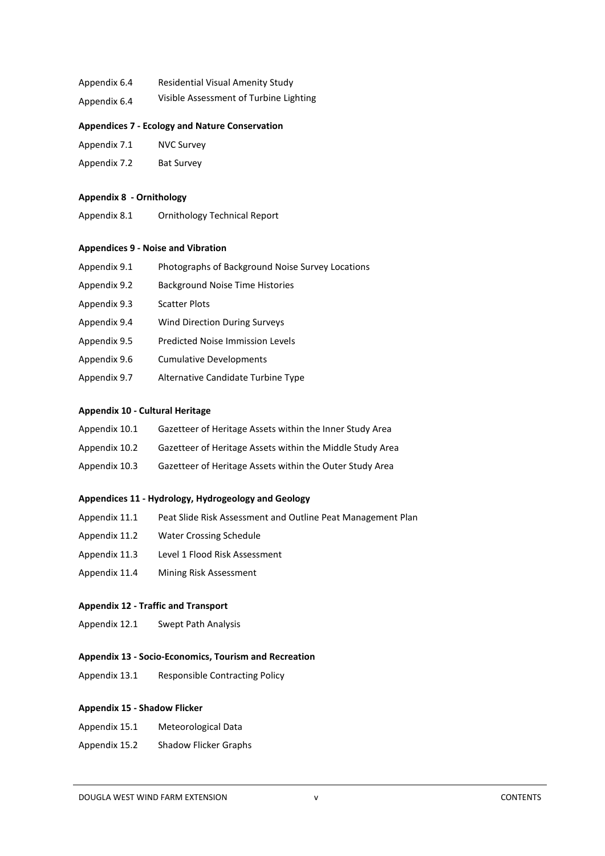- Appendix 6.4 Residential Visual Amenity Study
- Appendix 6.4 Visible Assessment of Turbine Lighting

#### **Appendices 7 - Ecology and Nature Conservation**

- Appendix 7.1 NVC Survey
- Appendix 7.2 Bat Survey

#### **Appendix 8 - Ornithology**

Appendix 8.1 Ornithology Technical Report

#### **Appendices 9 - Noise and Vibration**

| Appendix 9.1 | Photographs of Background Noise Survey Locations |
|--------------|--------------------------------------------------|
| Appendix 9.2 | <b>Background Noise Time Histories</b>           |
| Appendix 9.3 | <b>Scatter Plots</b>                             |
| Appendix 9.4 | <b>Wind Direction During Surveys</b>             |
| Appendix 9.5 | <b>Predicted Noise Immission Levels</b>          |
| Appendix 9.6 | <b>Cumulative Developments</b>                   |
| Appendix 9.7 | Alternative Candidate Turbine Type               |
|              |                                                  |

#### **Appendix 10 - Cultural Heritage**

- Appendix 10.1 Gazetteer of Heritage Assets within the Inner Study Area
- Appendix 10.2 Gazetteer of Heritage Assets within the Middle Study Area
- Appendix 10.3 Gazetteer of Heritage Assets within the Outer Study Area

#### **Appendices 11 - Hydrology, Hydrogeology and Geology**

- Appendix 11.1 Peat Slide Risk Assessment and Outline Peat Management Plan
- Appendix 11.2 Water Crossing Schedule
- Appendix 11.3 Level 1 Flood Risk Assessment
- Appendix 11.4 Mining Risk Assessment

#### **Appendix 12 - Traffic and Transport**

Appendix 12.1 Swept Path Analysis

#### **Appendix 13 - Socio-Economics, Tourism and Recreation**

Appendix 13.1 Responsible Contracting Policy

#### **Appendix 15 - Shadow Flicker**

- Appendix 15.1 Meteorological Data
- Appendix 15.2 Shadow Flicker Graphs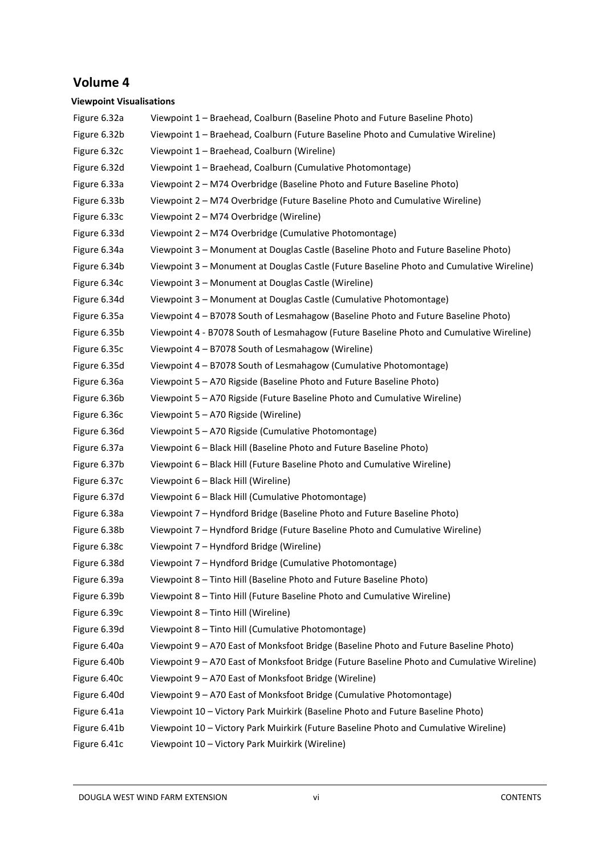# **Volume 4**

## **Viewpoint Visualisations**

| Figure 6.32a | Viewpoint 1 - Braehead, Coalburn (Baseline Photo and Future Baseline Photo)                |
|--------------|--------------------------------------------------------------------------------------------|
| Figure 6.32b | Viewpoint 1 - Braehead, Coalburn (Future Baseline Photo and Cumulative Wireline)           |
| Figure 6.32c | Viewpoint 1 - Braehead, Coalburn (Wireline)                                                |
| Figure 6.32d | Viewpoint 1 - Braehead, Coalburn (Cumulative Photomontage)                                 |
| Figure 6.33a | Viewpoint 2 - M74 Overbridge (Baseline Photo and Future Baseline Photo)                    |
| Figure 6.33b | Viewpoint 2 - M74 Overbridge (Future Baseline Photo and Cumulative Wireline)               |
| Figure 6.33c | Viewpoint 2 - M74 Overbridge (Wireline)                                                    |
| Figure 6.33d | Viewpoint 2 - M74 Overbridge (Cumulative Photomontage)                                     |
| Figure 6.34a | Viewpoint 3 - Monument at Douglas Castle (Baseline Photo and Future Baseline Photo)        |
| Figure 6.34b | Viewpoint 3 - Monument at Douglas Castle (Future Baseline Photo and Cumulative Wireline)   |
| Figure 6.34c | Viewpoint 3 - Monument at Douglas Castle (Wireline)                                        |
| Figure 6.34d | Viewpoint 3 - Monument at Douglas Castle (Cumulative Photomontage)                         |
| Figure 6.35a | Viewpoint 4 - B7078 South of Lesmahagow (Baseline Photo and Future Baseline Photo)         |
| Figure 6.35b | Viewpoint 4 - B7078 South of Lesmahagow (Future Baseline Photo and Cumulative Wireline)    |
| Figure 6.35c | Viewpoint 4 - B7078 South of Lesmahagow (Wireline)                                         |
| Figure 6.35d | Viewpoint 4 - B7078 South of Lesmahagow (Cumulative Photomontage)                          |
| Figure 6.36a | Viewpoint 5 - A70 Rigside (Baseline Photo and Future Baseline Photo)                       |
| Figure 6.36b | Viewpoint 5 - A70 Rigside (Future Baseline Photo and Cumulative Wireline)                  |
| Figure 6.36c | Viewpoint 5 - A70 Rigside (Wireline)                                                       |
| Figure 6.36d | Viewpoint 5 - A70 Rigside (Cumulative Photomontage)                                        |
| Figure 6.37a | Viewpoint 6 - Black Hill (Baseline Photo and Future Baseline Photo)                        |
| Figure 6.37b | Viewpoint 6 - Black Hill (Future Baseline Photo and Cumulative Wireline)                   |
| Figure 6.37c | Viewpoint 6 - Black Hill (Wireline)                                                        |
| Figure 6.37d | Viewpoint 6 - Black Hill (Cumulative Photomontage)                                         |
| Figure 6.38a | Viewpoint 7 - Hyndford Bridge (Baseline Photo and Future Baseline Photo)                   |
| Figure 6.38b | Viewpoint 7 - Hyndford Bridge (Future Baseline Photo and Cumulative Wireline)              |
| Figure 6.38c | Viewpoint 7 - Hyndford Bridge (Wireline)                                                   |
| Figure 6.38d | Viewpoint 7 - Hyndford Bridge (Cumulative Photomontage)                                    |
| Figure 6.39a | Viewpoint 8 - Tinto Hill (Baseline Photo and Future Baseline Photo)                        |
| Figure 6.39b | Viewpoint 8 - Tinto Hill (Future Baseline Photo and Cumulative Wireline)                   |
| Figure 6.39c | Viewpoint 8 - Tinto Hill (Wireline)                                                        |
| Figure 6.39d | Viewpoint 8 - Tinto Hill (Cumulative Photomontage)                                         |
| Figure 6.40a | Viewpoint 9 - A70 East of Monksfoot Bridge (Baseline Photo and Future Baseline Photo)      |
| Figure 6.40b | Viewpoint 9 - A70 East of Monksfoot Bridge (Future Baseline Photo and Cumulative Wireline) |
| Figure 6.40c | Viewpoint 9 - A70 East of Monksfoot Bridge (Wireline)                                      |
| Figure 6.40d | Viewpoint 9 - A70 East of Monksfoot Bridge (Cumulative Photomontage)                       |
| Figure 6.41a | Viewpoint 10 - Victory Park Muirkirk (Baseline Photo and Future Baseline Photo)            |
| Figure 6.41b | Viewpoint 10 - Victory Park Muirkirk (Future Baseline Photo and Cumulative Wireline)       |
| Figure 6.41c | Viewpoint 10 - Victory Park Muirkirk (Wireline)                                            |
|              |                                                                                            |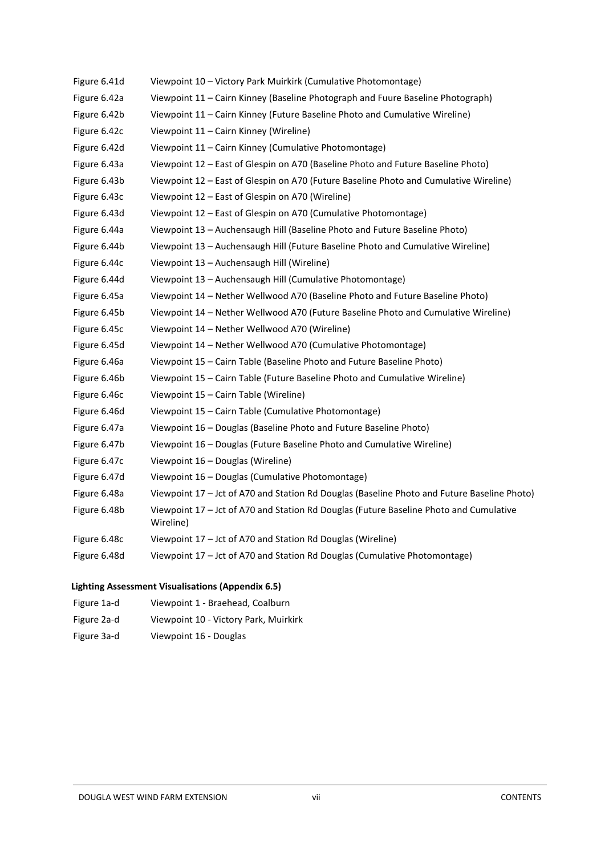| Figure 6.41d | Viewpoint 10 - Victory Park Muirkirk (Cumulative Photomontage)                                      |
|--------------|-----------------------------------------------------------------------------------------------------|
| Figure 6.42a | Viewpoint 11 - Cairn Kinney (Baseline Photograph and Fuure Baseline Photograph)                     |
| Figure 6.42b | Viewpoint 11 - Cairn Kinney (Future Baseline Photo and Cumulative Wireline)                         |
| Figure 6.42c | Viewpoint 11 - Cairn Kinney (Wireline)                                                              |
| Figure 6.42d | Viewpoint 11 - Cairn Kinney (Cumulative Photomontage)                                               |
| Figure 6.43a | Viewpoint 12 - East of Glespin on A70 (Baseline Photo and Future Baseline Photo)                    |
| Figure 6.43b | Viewpoint 12 - East of Glespin on A70 (Future Baseline Photo and Cumulative Wireline)               |
| Figure 6.43c | Viewpoint 12 - East of Glespin on A70 (Wireline)                                                    |
| Figure 6.43d | Viewpoint 12 - East of Glespin on A70 (Cumulative Photomontage)                                     |
| Figure 6.44a | Viewpoint 13 - Auchensaugh Hill (Baseline Photo and Future Baseline Photo)                          |
| Figure 6.44b | Viewpoint 13 - Auchensaugh Hill (Future Baseline Photo and Cumulative Wireline)                     |
| Figure 6.44c | Viewpoint 13 - Auchensaugh Hill (Wireline)                                                          |
| Figure 6.44d | Viewpoint 13 - Auchensaugh Hill (Cumulative Photomontage)                                           |
| Figure 6.45a | Viewpoint 14 - Nether Wellwood A70 (Baseline Photo and Future Baseline Photo)                       |
| Figure 6.45b | Viewpoint 14 - Nether Wellwood A70 (Future Baseline Photo and Cumulative Wireline)                  |
| Figure 6.45c | Viewpoint 14 - Nether Wellwood A70 (Wireline)                                                       |
| Figure 6.45d | Viewpoint 14 - Nether Wellwood A70 (Cumulative Photomontage)                                        |
| Figure 6.46a | Viewpoint 15 - Cairn Table (Baseline Photo and Future Baseline Photo)                               |
| Figure 6.46b | Viewpoint 15 - Cairn Table (Future Baseline Photo and Cumulative Wireline)                          |
| Figure 6.46c | Viewpoint 15 - Cairn Table (Wireline)                                                               |
| Figure 6.46d | Viewpoint 15 - Cairn Table (Cumulative Photomontage)                                                |
| Figure 6.47a | Viewpoint 16 - Douglas (Baseline Photo and Future Baseline Photo)                                   |
| Figure 6.47b | Viewpoint 16 - Douglas (Future Baseline Photo and Cumulative Wireline)                              |
| Figure 6.47c | Viewpoint 16 - Douglas (Wireline)                                                                   |
| Figure 6.47d | Viewpoint 16 - Douglas (Cumulative Photomontage)                                                    |
| Figure 6.48a | Viewpoint 17 - Jct of A70 and Station Rd Douglas (Baseline Photo and Future Baseline Photo)         |
| Figure 6.48b | Viewpoint 17 - Jct of A70 and Station Rd Douglas (Future Baseline Photo and Cumulative<br>Wireline) |
| Figure 6.48c | Viewpoint 17 - Jct of A70 and Station Rd Douglas (Wireline)                                         |
| Figure 6.48d | Viewpoint 17 - Jct of A70 and Station Rd Douglas (Cumulative Photomontage)                          |

# **Lighting Assessment Visualisations (Appendix 6.5)**

| Figure 1a-d | Viewpoint 1 - Braehead, Coalburn      |
|-------------|---------------------------------------|
| Figure 2a-d | Viewpoint 10 - Victory Park, Muirkirk |
| Figure 3a-d | Viewpoint 16 - Douglas                |